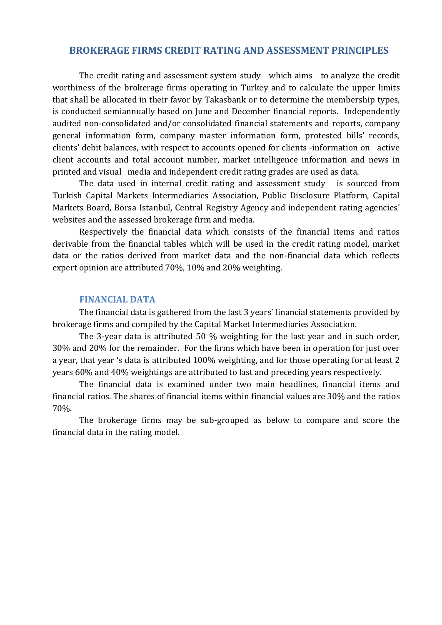### **BROKERAGE FIRMS CREDIT RATING AND ASSESSMENT PRINCIPLES**

The credit rating and assessment system study which aims to analyze the credit worthiness of the brokerage firms operating in Turkey and to calculate the upper limits that shall be allocated in their favor by Takasbank or to determine the membership types, is conducted semiannually based on June and December financial reports. Independently audited non-consolidated and/or consolidated financial statements and reports, company general information form, company master information form, protested bills' records, clients' debit balances, with respect to accounts opened for clients -information on active client accounts and total account number, market intelligence information and news in printed and visual media and independent credit rating grades are used as data.

The data used in internal credit rating and assessment study is sourced from Turkish Capital Markets Intermediaries Association, Public Disclosure Platform, Capital Markets Board, Borsa Istanbul, Central Registry Agency and independent rating agencies' websites and the assessed brokerage firm and media.

Respectively the financial data which consists of the financial items and ratios derivable from the financial tables which will be used in the credit rating model, market data or the ratios derived from market data and the non-financial data which reflects expert opinion are attributed 70%, 10% and 20% weighting.

### **FINANCIAL DATA**

The financial data is gathered from the last 3 years' financial statements provided by brokerage firms and compiled by the Capital Market Intermediaries Association.

The 3-year data is attributed 50 % weighting for the last year and in such order, 30% and 20% for the remainder. For the firms which have been in operation for just over a year, that year 's data is attributed 100% weighting, and for those operating for at least 2 years 60% and 40% weightings are attributed to last and preceding years respectively.

The financial data is examined under two main headlines, financial items and financial ratios. The shares of financial items within financial values are 30% and the ratios 70%.

The brokerage firms may be sub-grouped as below to compare and score the financial data in the rating model.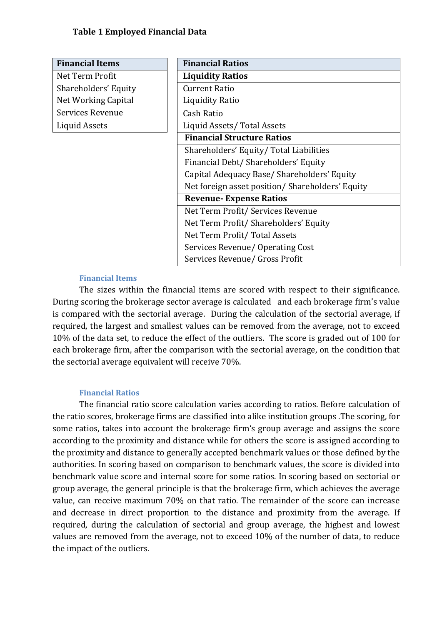| <b>Financial Items</b> | <b>Financial Ratios</b>                         |  |
|------------------------|-------------------------------------------------|--|
| Net Term Profit        | <b>Liquidity Ratios</b>                         |  |
| Shareholders' Equity   | <b>Current Ratio</b>                            |  |
| Net Working Capital    | <b>Liquidity Ratio</b>                          |  |
| Services Revenue       | Cash Ratio                                      |  |
| <b>Liquid Assets</b>   | Liquid Assets/Total Assets                      |  |
|                        | <b>Financial Structure Ratios</b>               |  |
|                        | Shareholders' Equity/ Total Liabilities         |  |
|                        | Financial Debt/ Shareholders' Equity            |  |
|                        | Capital Adequacy Base/Shareholders' Equity      |  |
|                        | Net foreign asset position/Shareholders' Equity |  |
|                        | <b>Revenue-Expense Ratios</b>                   |  |
|                        | Net Term Profit/ Services Revenue               |  |
|                        | Net Term Profit/ Shareholders' Equity           |  |
|                        | Net Term Profit/Total Assets                    |  |
|                        | Services Revenue/ Operating Cost                |  |
|                        | Services Revenue/ Gross Profit                  |  |

### **Financial Items**

The sizes within the financial items are scored with respect to their significance. During scoring the brokerage sector average is calculated and each brokerage firm's value is compared with the sectorial average. During the calculation of the sectorial average, if required, the largest and smallest values can be removed from the average, not to exceed 10% of the data set, to reduce the effect of the outliers. The score is graded out of 100 for each brokerage firm, after the comparison with the sectorial average, on the condition that the sectorial average equivalent will receive 70%.

### **Financial Ratios**

The financial ratio score calculation varies according to ratios. Before calculation of the ratio scores, brokerage firms are classified into alike institution groups .The scoring, for some ratios, takes into account the brokerage firm's group average and assigns the score according to the proximity and distance while for others the score is assigned according to the proximity and distance to generally accepted benchmark values or those defined by the authorities. In scoring based on comparison to benchmark values, the score is divided into benchmark value score and internal score for some ratios. In scoring based on sectorial or group average, the general principle is that the brokerage firm, which achieves the average value, can receive maximum 70% on that ratio. The remainder of the score can increase and decrease in direct proportion to the distance and proximity from the average. If required, during the calculation of sectorial and group average, the highest and lowest values are removed from the average, not to exceed 10% of the number of data, to reduce the impact of the outliers.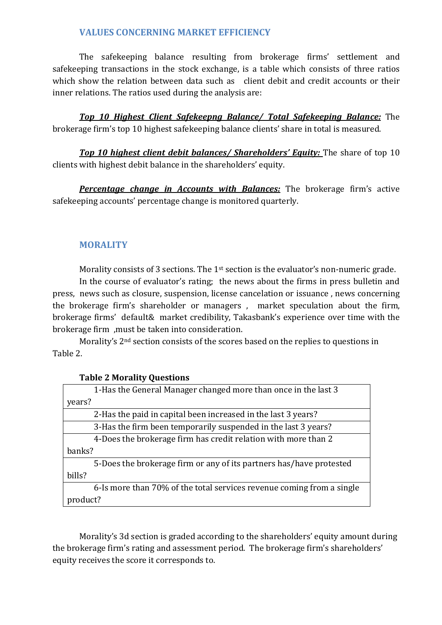# **VALUES CONCERNING MARKET EFFICIENCY**

The safekeeping balance resulting from brokerage firms' settlement and safekeeping transactions in the stock exchange, is a table which consists of three ratios which show the relation between data such as client debit and credit accounts or their inner relations. The ratios used during the analysis are:

*Top 10 Highest Client Safekeepng Balance/ Total Safekeeping Balance:* The brokerage firm's top 10 highest safekeeping balance clients' share in total is measured.

*Top 10 highest client debit balances/ Shareholders' Equity:* The share of top 10 clients with highest debit balance in the shareholders' equity.

*Percentage change in Accounts with Balances:* The brokerage firm's active safekeeping accounts' percentage change is monitored quarterly.

## **MORALITY**

Morality consists of 3 sections. The 1<sup>st</sup> section is the evaluator's non-numeric grade.

In the course of evaluator's rating; the news about the firms in press bulletin and press, news such as closure, suspension, license cancelation or issuance , news concerning the brokerage firm's shareholder or managers , market speculation about the firm, brokerage firms' default& market credibility, Takasbank's experience over time with the brokerage firm ,must be taken into consideration.

Morality's 2nd section consists of the scores based on the replies to questions in Table 2.

## **Table 2 Morality Questions**

| 1-Has the General Manager changed more than once in the last 3        |
|-----------------------------------------------------------------------|
| years?                                                                |
| 2-Has the paid in capital been increased in the last 3 years?         |
| 3-Has the firm been temporarily suspended in the last 3 years?        |
| 4-Does the brokerage firm has credit relation with more than 2        |
| banks?                                                                |
| 5-Does the brokerage firm or any of its partners has/have protested   |
| bills?                                                                |
| 6-Is more than 70% of the total services revenue coming from a single |
| product?                                                              |

Morality's 3d section is graded according to the shareholders' equity amount during the brokerage firm's rating and assessment period. The brokerage firm's shareholders' equity receives the score it corresponds to.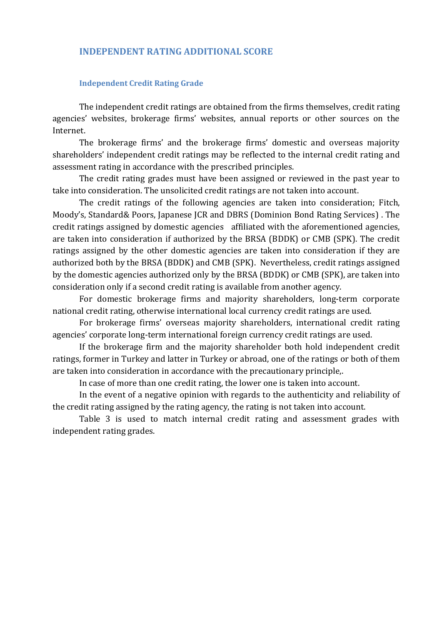### **INDEPENDENT RATING ADDITIONAL SCORE**

#### **Independent Credit Rating Grade**

The independent credit ratings are obtained from the firms themselves, credit rating agencies' websites, brokerage firms' websites, annual reports or other sources on the Internet.

The brokerage firms' and the brokerage firms' domestic and overseas majority shareholders' independent credit ratings may be reflected to the internal credit rating and assessment rating in accordance with the prescribed principles.

The credit rating grades must have been assigned or reviewed in the past year to take into consideration. The unsolicited credit ratings are not taken into account.

The credit ratings of the following agencies are taken into consideration; Fitch, Moody's, Standard& Poors, Japanese JCR and DBRS (Dominion Bond Rating Services) . The credit ratings assigned by domestic agencies affiliated with the aforementioned agencies, are taken into consideration if authorized by the BRSA (BDDK) or CMB (SPK). The credit ratings assigned by the other domestic agencies are taken into consideration if they are authorized both by the BRSA (BDDK) and CMB (SPK). Nevertheless, credit ratings assigned by the domestic agencies authorized only by the BRSA (BDDK) or CMB (SPK), are taken into consideration only if a second credit rating is available from another agency.

For domestic brokerage firms and majority shareholders, long-term corporate national credit rating, otherwise international local currency credit ratings are used.

For brokerage firms' overseas majority shareholders, international credit rating agencies' corporate long-term international foreign currency credit ratings are used.

If the brokerage firm and the majority shareholder both hold independent credit ratings, former in Turkey and latter in Turkey or abroad, one of the ratings or both of them are taken into consideration in accordance with the precautionary principle,.

In case of more than one credit rating, the lower one is taken into account.

In the event of a negative opinion with regards to the authenticity and reliability of the credit rating assigned by the rating agency, the rating is not taken into account.

Table 3 is used to match internal credit rating and assessment grades with independent rating grades.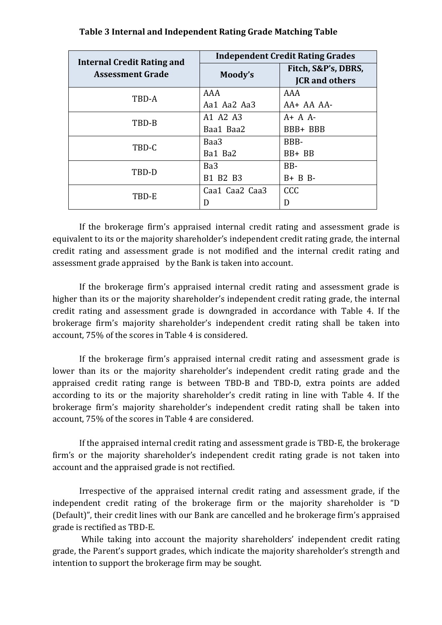| <b>Internal Credit Rating and</b> | <b>Independent Credit Rating Grades</b> |                                              |  |  |
|-----------------------------------|-----------------------------------------|----------------------------------------------|--|--|
| <b>Assessment Grade</b>           | Moody's                                 | Fitch, S&P's, DBRS,<br><b>JCR</b> and others |  |  |
| TBD-A                             | AAA                                     | AAA                                          |  |  |
|                                   | Aa1 Aa2 Aa3                             | $AA+AAAA$                                    |  |  |
| TBD-B                             | A1 A2 A3                                | $A + A$                                      |  |  |
|                                   | Baa1 Baa2                               | BBB+ BBB                                     |  |  |
| TBD-C                             | Baa3                                    | BBB-                                         |  |  |
|                                   | Ba1 Ba2                                 | $BB + BB$                                    |  |  |
| TBD-D                             | Ba <sub>3</sub>                         | BB-                                          |  |  |
|                                   | B1 B2 B3                                | $B + B B$                                    |  |  |
| TBD-E                             | Caa1 Caa2 Caa3                          | <b>CCC</b>                                   |  |  |
|                                   | D                                       | D                                            |  |  |

**Table 3 Internal and Independent Rating Grade Matching Table**

If the brokerage firm's appraised internal credit rating and assessment grade is equivalent to its or the majority shareholder's independent credit rating grade, the internal credit rating and assessment grade is not modified and the internal credit rating and assessment grade appraised by the Bank is taken into account.

If the brokerage firm's appraised internal credit rating and assessment grade is higher than its or the majority shareholder's independent credit rating grade, the internal credit rating and assessment grade is downgraded in accordance with Table 4. If the brokerage firm's majority shareholder's independent credit rating shall be taken into account, 75% of the scores in Table 4 is considered.

If the brokerage firm's appraised internal credit rating and assessment grade is lower than its or the majority shareholder's independent credit rating grade and the appraised credit rating range is between TBD-B and TBD-D, extra points are added according to its or the majority shareholder's credit rating in line with Table 4. If the brokerage firm's majority shareholder's independent credit rating shall be taken into account, 75% of the scores in Table 4 are considered.

If the appraised internal credit rating and assessment grade is TBD-E, the brokerage firm's or the majority shareholder's independent credit rating grade is not taken into account and the appraised grade is not rectified.

Irrespective of the appraised internal credit rating and assessment grade, if the independent credit rating of the brokerage firm or the majority shareholder is "D (Default)", their credit lines with our Bank are cancelled and he brokerage firm's appraised grade is rectified as TBD-E.

While taking into account the majority shareholders' independent credit rating grade, the Parent's support grades, which indicate the majority shareholder's strength and intention to support the brokerage firm may be sought.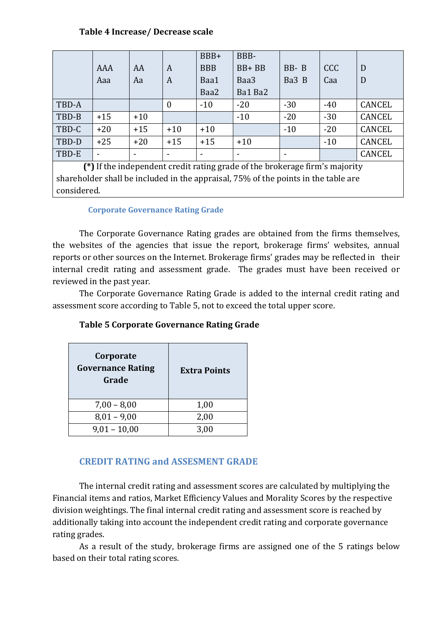## **Table 4 Increase/ Decrease scale**

|                                                                               |       |       |                | BBB+       | BBB-      |          |            |        |
|-------------------------------------------------------------------------------|-------|-------|----------------|------------|-----------|----------|------------|--------|
|                                                                               | AAA   | AA    | A              | <b>BBB</b> | $BB + BB$ | $BB - B$ | <b>CCC</b> | D      |
|                                                                               | Aaa   | Aa    | A              | Baa1       | Baa3      | Ba3 B    | Caa        | D      |
|                                                                               |       |       |                | Baa2       | Ba1 Ba2   |          |            |        |
| TBD-A                                                                         |       |       | $\overline{0}$ | $-10$      | $-20$     | $-30$    | $-40$      | CANCEL |
| TBD-B                                                                         | $+15$ | $+10$ |                |            | $-10$     | $-20$    | $-30$      | CANCEL |
| TBD-C                                                                         | $+20$ | $+15$ | $+10$          | $+10$      |           | $-10$    | $-20$      | CANCEL |
| TBD-D                                                                         | $+25$ | $+20$ | $+15$          | $+15$      | $+10$     |          | $-10$      | CANCEL |
| TBD-E                                                                         |       | ۰     |                |            | ۰         |          |            | CANCEL |
| $(*)$ If the independent credit rating grade of the brokerage firm's majority |       |       |                |            |           |          |            |        |

**(\*)** If the independent credit rating grade of the brokerage firm's majority shareholder shall be included in the appraisal, 75% of the points in the table are considered.

## **Corporate Governance Rating Grade**

The Corporate Governance Rating grades are obtained from the firms themselves, the websites of the agencies that issue the report, brokerage firms' websites, annual reports or other sources on the Internet. Brokerage firms' grades may be reflected in their internal credit rating and assessment grade. The grades must have been received or reviewed in the past year.

The Corporate Governance Rating Grade is added to the internal credit rating and assessment score according to Table 5, not to exceed the total upper score.

| Corporate<br><b>Governance Rating</b><br>Grade | <b>Extra Points</b> |  |
|------------------------------------------------|---------------------|--|
| $7,00 - 8,00$                                  | 1,00                |  |
| $8,01 - 9,00$                                  | 2,00                |  |
| $9,01 - 10,00$                                 | 3,00                |  |

## **Table 5 Corporate Governance Rating Grade**

## **CREDIT RATING and ASSESMENT GRADE**

The internal credit rating and assessment scores are calculated by multiplying the Financial items and ratios, Market Efficiency Values and Morality Scores by the respective division weightings. The final internal credit rating and assessment score is reached by additionally taking into account the independent credit rating and corporate governance rating grades.

As a result of the study, brokerage firms are assigned one of the 5 ratings below based on their total rating scores.